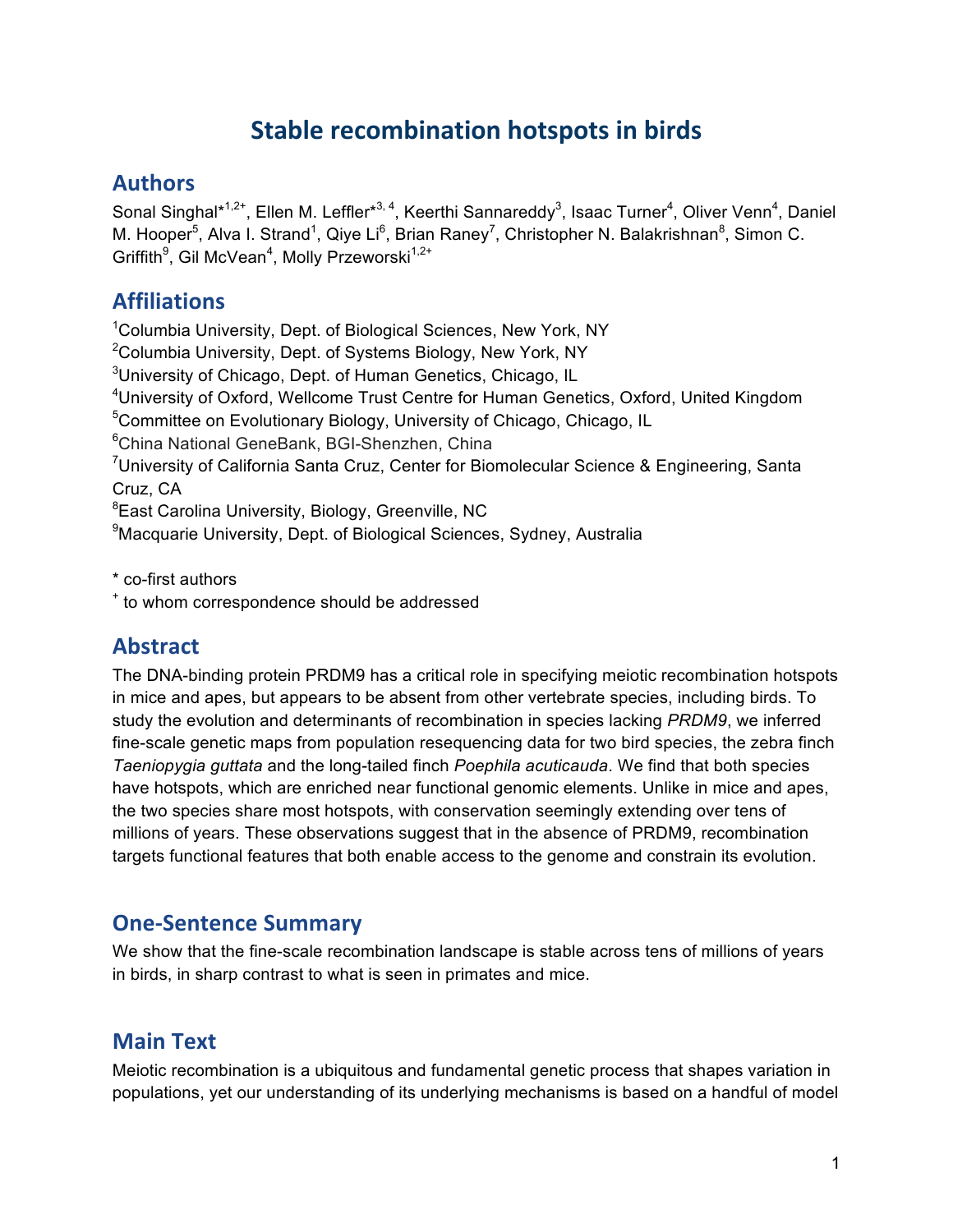## **Stable recombination hotspots in birds**

### **Authors**

Sonal Singhal\*<sup>1,2+</sup>, Ellen M. Leffler\*<sup>3, 4</sup>, Keerthi Sannareddy<sup>3</sup>, Isaac Turner<sup>4</sup>, Oliver Venn<sup>4</sup>, Daniel M. Hooper<sup>5</sup>, Alva I. Strand<sup>1</sup>, Qiye Li<sup>6</sup>, Brian Raney<sup>7</sup>, Christopher N. Balakrishnan<sup>8</sup>, Simon C. Griffith<sup>9</sup>, Gil McVean<sup>4</sup>, Molly Przeworski<sup>1,2+</sup>

### **Affiliations**

<sup>1</sup>Columbia University, Dept. of Biological Sciences, New York, NY <sup>2</sup>Columbia University, Dept. of Systems Biology, New York, NY <sup>3</sup>University of Chicago, Dept. of Human Genetics, Chicago, IL <sup>4</sup>University of Oxford, Wellcome Trust Centre for Human Genetics, Oxford, United Kingdom <sup>5</sup>Committee on Evolutionary Biology, University of Chicago, Chicago, IL 6 China National GeneBank, BGI-Shenzhen, China <sup>7</sup>University of California Santa Cruz, Center for Biomolecular Science & Engineering, Santa Cruz, CA <sup>8</sup>East Carolina University, Biology, Greenville, NC <sup>9</sup>Macquarie University, Dept. of Biological Sciences, Sydney, Australia

\* co-first authors

<sup>+</sup> to whom correspondence should be addressed

## **Abstract**

The DNA-binding protein PRDM9 has a critical role in specifying meiotic recombination hotspots in mice and apes, but appears to be absent from other vertebrate species, including birds. To study the evolution and determinants of recombination in species lacking *PRDM9*, we inferred fine-scale genetic maps from population resequencing data for two bird species, the zebra finch *Taeniopygia guttata* and the long-tailed finch *Poephila acuticauda*. We find that both species have hotspots, which are enriched near functional genomic elements. Unlike in mice and apes, the two species share most hotspots, with conservation seemingly extending over tens of millions of years. These observations suggest that in the absence of PRDM9, recombination targets functional features that both enable access to the genome and constrain its evolution.

### **One-Sentence Summary**

We show that the fine-scale recombination landscape is stable across tens of millions of years in birds, in sharp contrast to what is seen in primates and mice.

### **Main Text**

Meiotic recombination is a ubiquitous and fundamental genetic process that shapes variation in populations, yet our understanding of its underlying mechanisms is based on a handful of model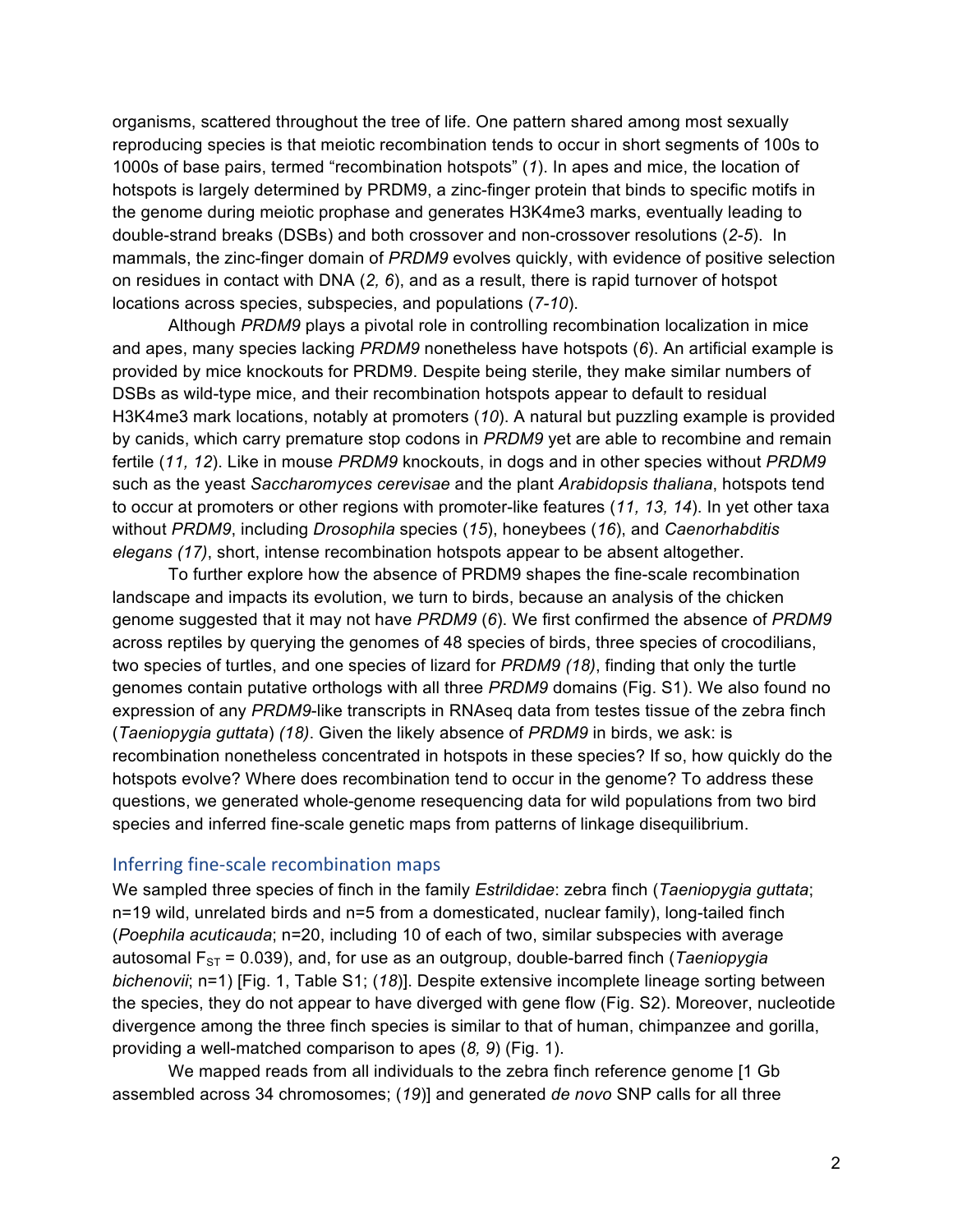organisms, scattered throughout the tree of life. One pattern shared among most sexually reproducing species is that meiotic recombination tends to occur in short segments of 100s to 1000s of base pairs, termed "recombination hotspots" (*1*). In apes and mice, the location of hotspots is largely determined by PRDM9, a zinc-finger protein that binds to specific motifs in the genome during meiotic prophase and generates H3K4me3 marks, eventually leading to double-strand breaks (DSBs) and both crossover and non-crossover resolutions (*2-5*). In mammals, the zinc-finger domain of *PRDM9* evolves quickly, with evidence of positive selection on residues in contact with DNA (*2, 6*), and as a result, there is rapid turnover of hotspot locations across species, subspecies, and populations (*7-10*).

Although *PRDM9* plays a pivotal role in controlling recombination localization in mice and apes, many species lacking *PRDM9* nonetheless have hotspots (*6*). An artificial example is provided by mice knockouts for PRDM9. Despite being sterile, they make similar numbers of DSBs as wild-type mice, and their recombination hotspots appear to default to residual H3K4me3 mark locations, notably at promoters (*10*). A natural but puzzling example is provided by canids, which carry premature stop codons in *PRDM9* yet are able to recombine and remain fertile (*11, 12*). Like in mouse *PRDM9* knockouts, in dogs and in other species without *PRDM9* such as the yeast *Saccharomyces cerevisae* and the plant *Arabidopsis thaliana*, hotspots tend to occur at promoters or other regions with promoter-like features (*11, 13, 14*). In yet other taxa without *PRDM9*, including *Drosophila* species (*15*), honeybees (*16*), and *Caenorhabditis elegans (17)*, short, intense recombination hotspots appear to be absent altogether.

To further explore how the absence of PRDM9 shapes the fine-scale recombination landscape and impacts its evolution, we turn to birds, because an analysis of the chicken genome suggested that it may not have *PRDM9* (*6*). We first confirmed the absence of *PRDM9* across reptiles by querying the genomes of 48 species of birds, three species of crocodilians, two species of turtles, and one species of lizard for *PRDM9 (18)*, finding that only the turtle genomes contain putative orthologs with all three *PRDM9* domains (Fig. S1). We also found no expression of any *PRDM9*-like transcripts in RNAseq data from testes tissue of the zebra finch (*Taeniopygia guttata*) *(18)*. Given the likely absence of *PRDM9* in birds, we ask: is recombination nonetheless concentrated in hotspots in these species? If so, how quickly do the hotspots evolve? Where does recombination tend to occur in the genome? To address these questions, we generated whole-genome resequencing data for wild populations from two bird species and inferred fine-scale genetic maps from patterns of linkage disequilibrium.

#### Inferring fine-scale recombination maps

We sampled three species of finch in the family *Estrildidae*: zebra finch (*Taeniopygia guttata*; n=19 wild, unrelated birds and n=5 from a domesticated, nuclear family), long-tailed finch (*Poephila acuticauda*; n=20, including 10 of each of two, similar subspecies with average autosomal  $F_{ST}$  = 0.039), and, for use as an outgroup, double-barred finch (*Taeniopygia bichenovii*; n=1) [Fig. 1, Table S1; (*18*)]. Despite extensive incomplete lineage sorting between the species, they do not appear to have diverged with gene flow (Fig. S2). Moreover, nucleotide divergence among the three finch species is similar to that of human, chimpanzee and gorilla, providing a well-matched comparison to apes (*8, 9*) (Fig. 1).

We mapped reads from all individuals to the zebra finch reference genome [1 Gb assembled across 34 chromosomes; (*19*)] and generated *de novo* SNP calls for all three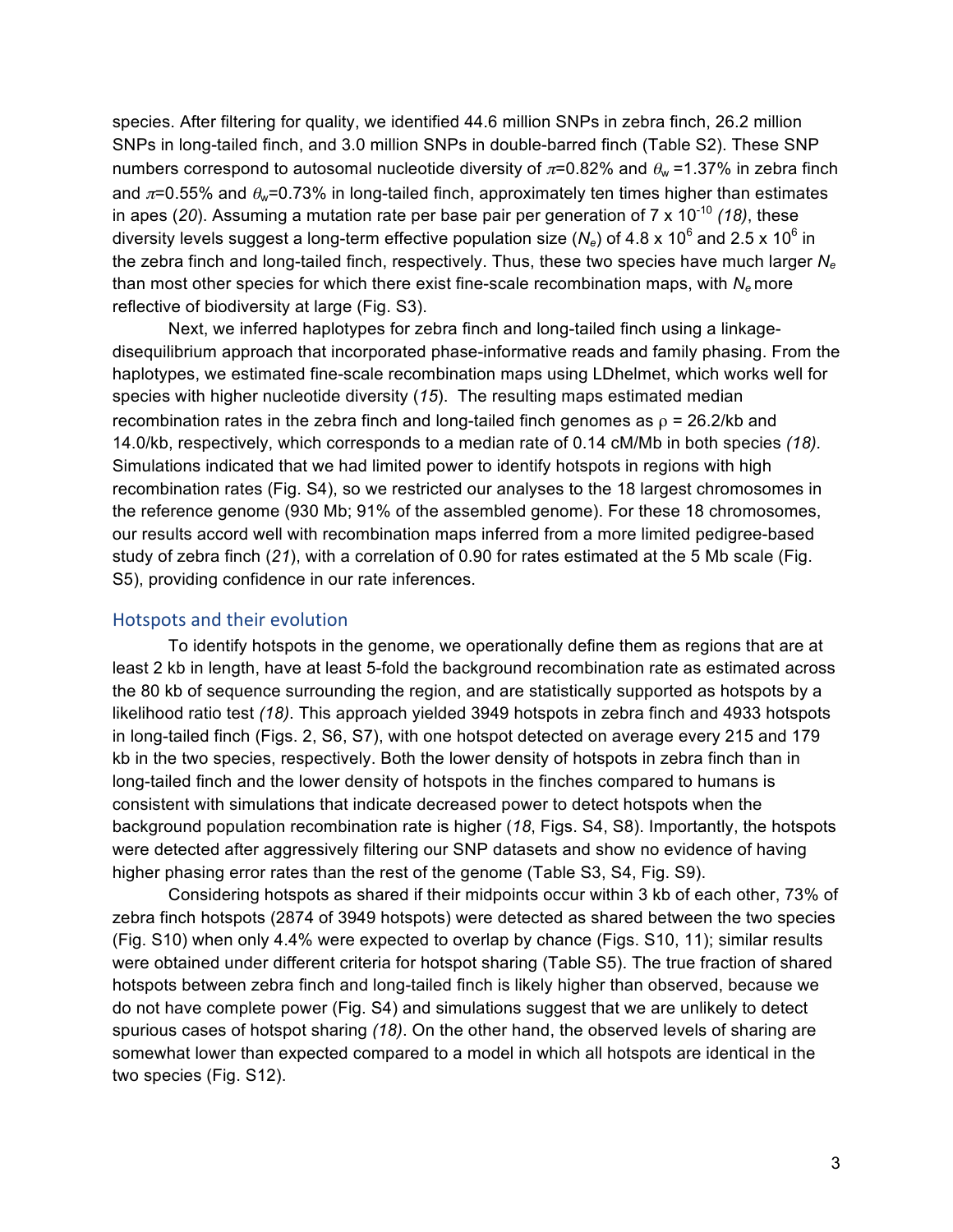species. After filtering for quality, we identified 44.6 million SNPs in zebra finch, 26.2 million SNPs in long-tailed finch, and 3.0 million SNPs in double-barred finch (Table S2). These SNP numbers correspond to autosomal nucleotide diversity of  $\pi$ =0.82% and  $\theta_w$ =1.37% in zebra finch and  $\pi$ =0.55% and  $\theta_w$ =0.73% in long-tailed finch, approximately ten times higher than estimates in apes (20). Assuming a mutation rate per base pair per generation of  $7 \times 10^{-10}$  (18), these diversity levels suggest a long-term effective population size ( $N_e$ ) of 4.8 x 10<sup>6</sup> and 2.5 x 10<sup>6</sup> in the zebra finch and long-tailed finch, respectively. Thus, these two species have much larger *Ne*  than most other species for which there exist fine-scale recombination maps, with  $N_e$  more reflective of biodiversity at large (Fig. S3).

Next, we inferred haplotypes for zebra finch and long-tailed finch using a linkagedisequilibrium approach that incorporated phase-informative reads and family phasing. From the haplotypes, we estimated fine-scale recombination maps using LDhelmet, which works well for species with higher nucleotide diversity (*15*). The resulting maps estimated median recombination rates in the zebra finch and long-tailed finch genomes as  $\rho = 26.2/kb$  and 14.0/kb, respectively, which corresponds to a median rate of 0.14 cM/Mb in both species *(18).* Simulations indicated that we had limited power to identify hotspots in regions with high recombination rates (Fig. S4), so we restricted our analyses to the 18 largest chromosomes in the reference genome (930 Mb; 91% of the assembled genome). For these 18 chromosomes, our results accord well with recombination maps inferred from a more limited pedigree-based study of zebra finch (*21*), with a correlation of 0.90 for rates estimated at the 5 Mb scale (Fig. S5), providing confidence in our rate inferences.

#### Hotspots and their evolution

To identify hotspots in the genome, we operationally define them as regions that are at least 2 kb in length, have at least 5-fold the background recombination rate as estimated across the 80 kb of sequence surrounding the region, and are statistically supported as hotspots by a likelihood ratio test *(18)*. This approach yielded 3949 hotspots in zebra finch and 4933 hotspots in long-tailed finch (Figs. 2, S6, S7), with one hotspot detected on average every 215 and 179 kb in the two species, respectively. Both the lower density of hotspots in zebra finch than in long-tailed finch and the lower density of hotspots in the finches compared to humans is consistent with simulations that indicate decreased power to detect hotspots when the background population recombination rate is higher (*18*, Figs. S4, S8). Importantly, the hotspots were detected after aggressively filtering our SNP datasets and show no evidence of having higher phasing error rates than the rest of the genome (Table S3, S4, Fig. S9).

Considering hotspots as shared if their midpoints occur within 3 kb of each other, 73% of zebra finch hotspots (2874 of 3949 hotspots) were detected as shared between the two species (Fig. S10) when only 4.4% were expected to overlap by chance (Figs. S10, 11); similar results were obtained under different criteria for hotspot sharing (Table S5). The true fraction of shared hotspots between zebra finch and long-tailed finch is likely higher than observed, because we do not have complete power (Fig. S4) and simulations suggest that we are unlikely to detect spurious cases of hotspot sharing *(18)*. On the other hand, the observed levels of sharing are somewhat lower than expected compared to a model in which all hotspots are identical in the two species (Fig. S12).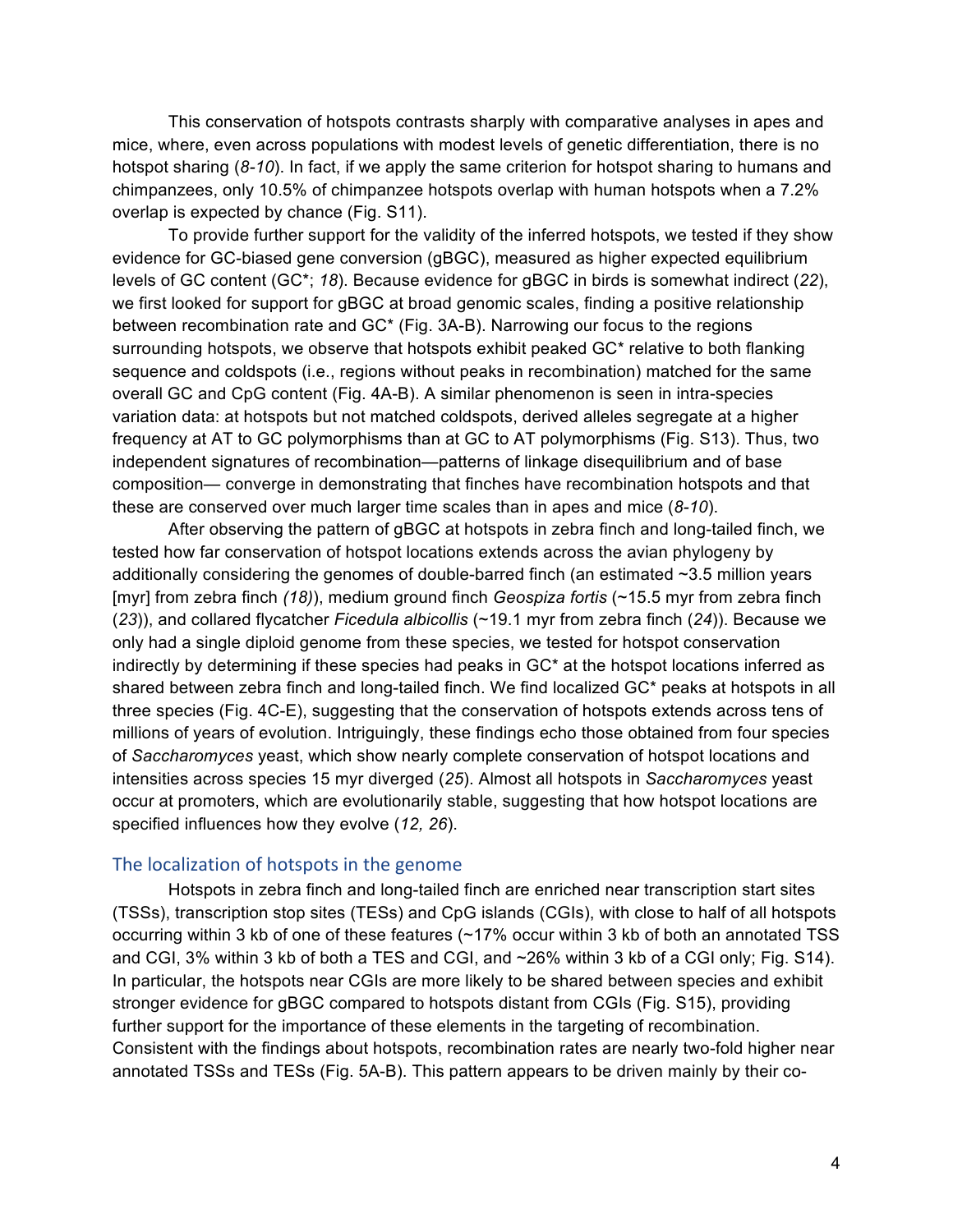This conservation of hotspots contrasts sharply with comparative analyses in apes and mice, where, even across populations with modest levels of genetic differentiation, there is no hotspot sharing (*8-10*). In fact, if we apply the same criterion for hotspot sharing to humans and chimpanzees, only 10.5% of chimpanzee hotspots overlap with human hotspots when a 7.2% overlap is expected by chance (Fig. S11).

To provide further support for the validity of the inferred hotspots, we tested if they show evidence for GC-biased gene conversion (gBGC), measured as higher expected equilibrium levels of GC content (GC\*; *18*). Because evidence for gBGC in birds is somewhat indirect (*22*), we first looked for support for gBGC at broad genomic scales, finding a positive relationship between recombination rate and GC\* (Fig. 3A-B). Narrowing our focus to the regions surrounding hotspots, we observe that hotspots exhibit peaked GC\* relative to both flanking sequence and coldspots (i.e., regions without peaks in recombination) matched for the same overall GC and CpG content (Fig. 4A-B). A similar phenomenon is seen in intra-species variation data: at hotspots but not matched coldspots, derived alleles segregate at a higher frequency at AT to GC polymorphisms than at GC to AT polymorphisms (Fig. S13). Thus, two independent signatures of recombination—patterns of linkage disequilibrium and of base composition— converge in demonstrating that finches have recombination hotspots and that these are conserved over much larger time scales than in apes and mice (*8-10*).

After observing the pattern of gBGC at hotspots in zebra finch and long-tailed finch, we tested how far conservation of hotspot locations extends across the avian phylogeny by additionally considering the genomes of double-barred finch (an estimated  $\sim$ 3.5 million years [myr] from zebra finch *(18)*), medium ground finch *Geospiza fortis* (~15.5 myr from zebra finch (*23*)), and collared flycatcher *Ficedula albicollis* (~19.1 myr from zebra finch (*24*)). Because we only had a single diploid genome from these species, we tested for hotspot conservation indirectly by determining if these species had peaks in GC\* at the hotspot locations inferred as shared between zebra finch and long-tailed finch. We find localized GC\* peaks at hotspots in all three species (Fig. 4C-E), suggesting that the conservation of hotspots extends across tens of millions of years of evolution. Intriguingly, these findings echo those obtained from four species of *Saccharomyces* yeast, which show nearly complete conservation of hotspot locations and intensities across species 15 myr diverged (*25*). Almost all hotspots in *Saccharomyces* yeast occur at promoters, which are evolutionarily stable, suggesting that how hotspot locations are specified influences how they evolve (*12, 26*).

#### The localization of hotspots in the genome

Hotspots in zebra finch and long-tailed finch are enriched near transcription start sites (TSSs), transcription stop sites (TESs) and CpG islands (CGIs), with close to half of all hotspots occurring within 3 kb of one of these features (~17% occur within 3 kb of both an annotated TSS and CGI, 3% within 3 kb of both a TES and CGI, and ~26% within 3 kb of a CGI only; Fig. S14). In particular, the hotspots near CGIs are more likely to be shared between species and exhibit stronger evidence for gBGC compared to hotspots distant from CGIs (Fig. S15), providing further support for the importance of these elements in the targeting of recombination. Consistent with the findings about hotspots, recombination rates are nearly two-fold higher near annotated TSSs and TESs (Fig. 5A-B). This pattern appears to be driven mainly by their co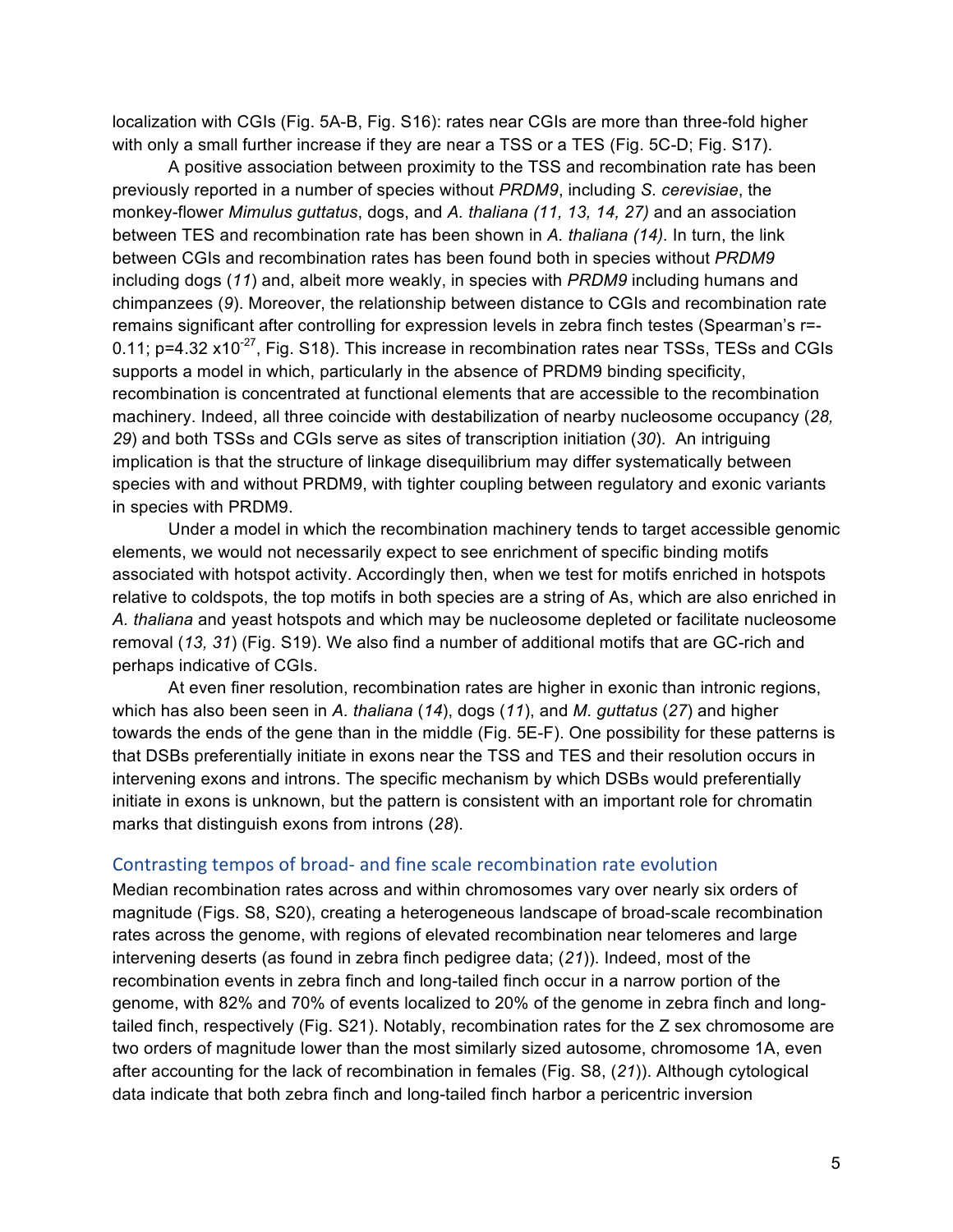localization with CGIs (Fig. 5A-B, Fig. S16): rates near CGIs are more than three-fold higher with only a small further increase if they are near a TSS or a TES (Fig. 5C-D; Fig. S17).

A positive association between proximity to the TSS and recombination rate has been previously reported in a number of species without *PRDM9*, including *S. cerevisiae*, the monkey-flower *Mimulus guttatus*, dogs, and *A. thaliana (11, 13, 14, 27)* and an association between TES and recombination rate has been shown in *A. thaliana (14).* In turn, the link between CGIs and recombination rates has been found both in species without *PRDM9* including dogs (*11*) and, albeit more weakly, in species with *PRDM9* including humans and chimpanzees (*9*). Moreover, the relationship between distance to CGIs and recombination rate remains significant after controlling for expression levels in zebra finch testes (Spearman's r=- 0.11;  $p=4.32 \times 10^{-27}$ , Fig. S18). This increase in recombination rates near TSSs, TESs and CGIs supports a model in which, particularly in the absence of PRDM9 binding specificity, recombination is concentrated at functional elements that are accessible to the recombination machinery. Indeed, all three coincide with destabilization of nearby nucleosome occupancy (*28, 29*) and both TSSs and CGIs serve as sites of transcription initiation (*30*). An intriguing implication is that the structure of linkage disequilibrium may differ systematically between species with and without PRDM9, with tighter coupling between regulatory and exonic variants in species with PRDM9.

Under a model in which the recombination machinery tends to target accessible genomic elements, we would not necessarily expect to see enrichment of specific binding motifs associated with hotspot activity. Accordingly then, when we test for motifs enriched in hotspots relative to coldspots, the top motifs in both species are a string of As, which are also enriched in *A. thaliana* and yeast hotspots and which may be nucleosome depleted or facilitate nucleosome removal (*13, 31*) (Fig. S19). We also find a number of additional motifs that are GC-rich and perhaps indicative of CGIs.

At even finer resolution, recombination rates are higher in exonic than intronic regions, which has also been seen in *A. thaliana* (*14*), dogs (*11*), and *M. guttatus* (*27*) and higher towards the ends of the gene than in the middle (Fig. 5E-F). One possibility for these patterns is that DSBs preferentially initiate in exons near the TSS and TES and their resolution occurs in intervening exons and introns. The specific mechanism by which DSBs would preferentially initiate in exons is unknown, but the pattern is consistent with an important role for chromatin marks that distinguish exons from introns (*28*).

#### Contrasting tempos of broad- and fine scale recombination rate evolution

Median recombination rates across and within chromosomes vary over nearly six orders of magnitude (Figs. S8, S20), creating a heterogeneous landscape of broad-scale recombination rates across the genome, with regions of elevated recombination near telomeres and large intervening deserts (as found in zebra finch pedigree data; (*21*)). Indeed, most of the recombination events in zebra finch and long-tailed finch occur in a narrow portion of the genome, with 82% and 70% of events localized to 20% of the genome in zebra finch and longtailed finch, respectively (Fig. S21). Notably, recombination rates for the Z sex chromosome are two orders of magnitude lower than the most similarly sized autosome, chromosome 1A, even after accounting for the lack of recombination in females (Fig. S8, (*21*)). Although cytological data indicate that both zebra finch and long-tailed finch harbor a pericentric inversion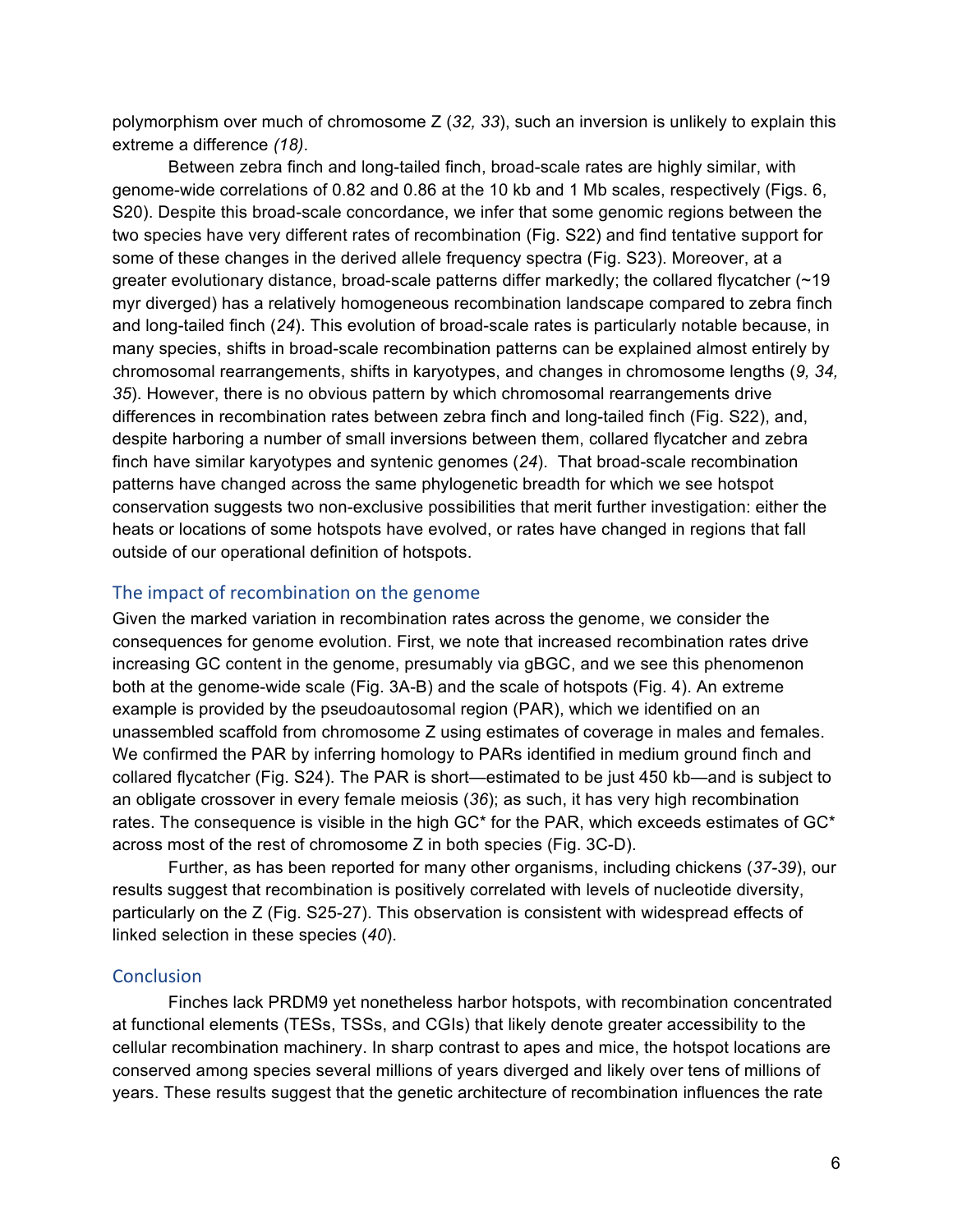polymorphism over much of chromosome Z (*32, 33*), such an inversion is unlikely to explain this extreme a difference *(18)*.

Between zebra finch and long-tailed finch, broad-scale rates are highly similar, with genome-wide correlations of 0.82 and 0.86 at the 10 kb and 1 Mb scales, respectively (Figs. 6, S20). Despite this broad-scale concordance, we infer that some genomic regions between the two species have very different rates of recombination (Fig. S22) and find tentative support for some of these changes in the derived allele frequency spectra (Fig. S23). Moreover, at a greater evolutionary distance, broad-scale patterns differ markedly; the collared flycatcher  $($  ~19 myr diverged) has a relatively homogeneous recombination landscape compared to zebra finch and long-tailed finch (*24*). This evolution of broad-scale rates is particularly notable because, in many species, shifts in broad-scale recombination patterns can be explained almost entirely by chromosomal rearrangements, shifts in karyotypes, and changes in chromosome lengths (*9, 34, 35*). However, there is no obvious pattern by which chromosomal rearrangements drive differences in recombination rates between zebra finch and long-tailed finch (Fig. S22), and, despite harboring a number of small inversions between them, collared flycatcher and zebra finch have similar karyotypes and syntenic genomes (*24*). That broad-scale recombination patterns have changed across the same phylogenetic breadth for which we see hotspot conservation suggests two non-exclusive possibilities that merit further investigation: either the heats or locations of some hotspots have evolved, or rates have changed in regions that fall outside of our operational definition of hotspots.

#### The impact of recombination on the genome

Given the marked variation in recombination rates across the genome, we consider the consequences for genome evolution. First, we note that increased recombination rates drive increasing GC content in the genome, presumably via gBGC, and we see this phenomenon both at the genome-wide scale (Fig. 3A-B) and the scale of hotspots (Fig. 4). An extreme example is provided by the pseudoautosomal region (PAR), which we identified on an unassembled scaffold from chromosome Z using estimates of coverage in males and females. We confirmed the PAR by inferring homology to PARs identified in medium ground finch and collared flycatcher (Fig. S24). The PAR is short—estimated to be just 450 kb—and is subject to an obligate crossover in every female meiosis (*36*); as such, it has very high recombination rates. The consequence is visible in the high GC<sup>\*</sup> for the PAR, which exceeds estimates of GC<sup>\*</sup> across most of the rest of chromosome Z in both species (Fig. 3C-D).

Further, as has been reported for many other organisms, including chickens (*37-39*), our results suggest that recombination is positively correlated with levels of nucleotide diversity, particularly on the Z (Fig. S25-27). This observation is consistent with widespread effects of linked selection in these species (*40*).

#### **Conclusion**

Finches lack PRDM9 yet nonetheless harbor hotspots, with recombination concentrated at functional elements (TESs, TSSs, and CGIs) that likely denote greater accessibility to the cellular recombination machinery. In sharp contrast to apes and mice, the hotspot locations are conserved among species several millions of years diverged and likely over tens of millions of years. These results suggest that the genetic architecture of recombination influences the rate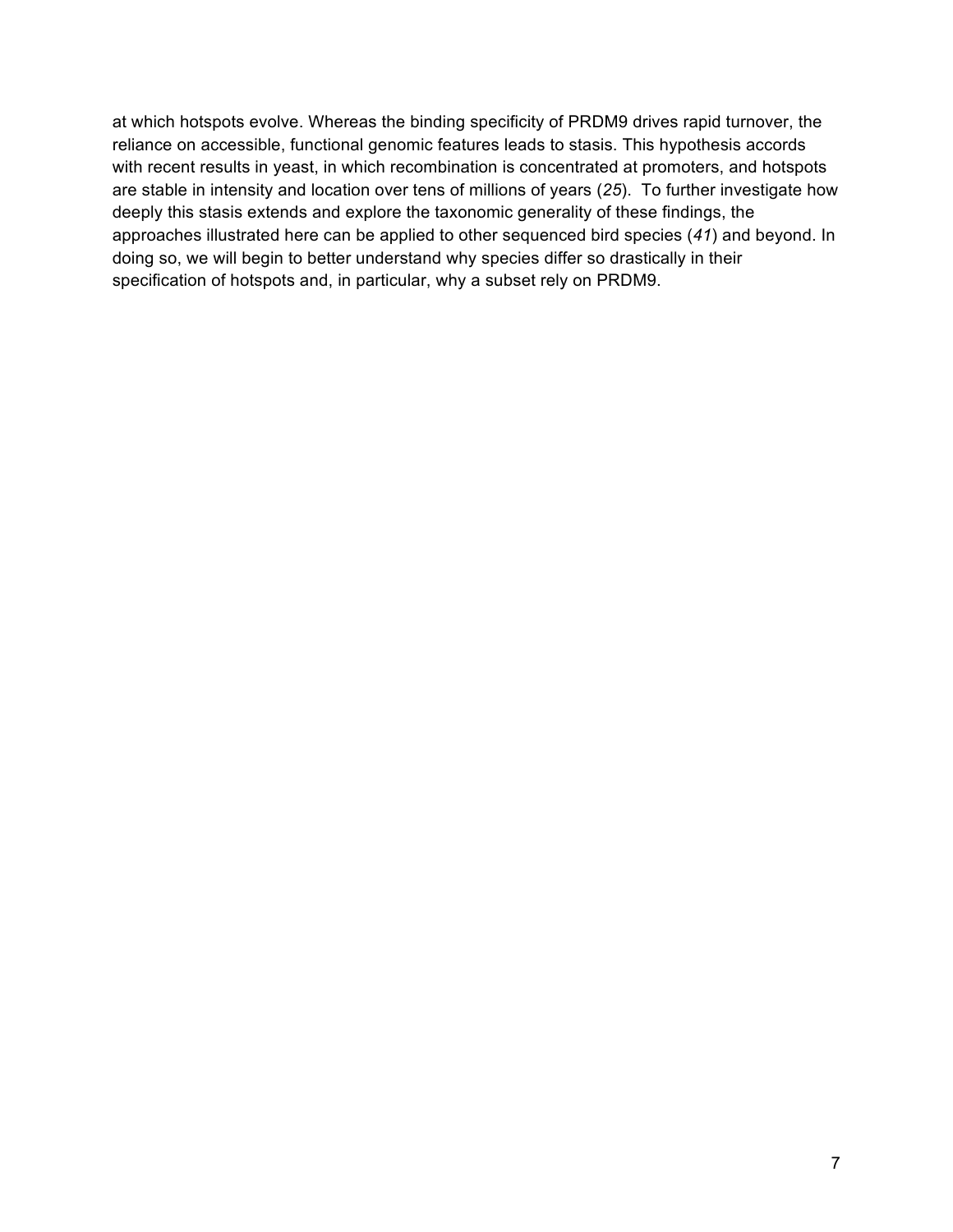at which hotspots evolve. Whereas the binding specificity of PRDM9 drives rapid turnover, the reliance on accessible, functional genomic features leads to stasis. This hypothesis accords with recent results in yeast, in which recombination is concentrated at promoters, and hotspots are stable in intensity and location over tens of millions of years (*25*). To further investigate how deeply this stasis extends and explore the taxonomic generality of these findings, the approaches illustrated here can be applied to other sequenced bird species (*41*) and beyond. In doing so, we will begin to better understand why species differ so drastically in their specification of hotspots and, in particular, why a subset rely on PRDM9.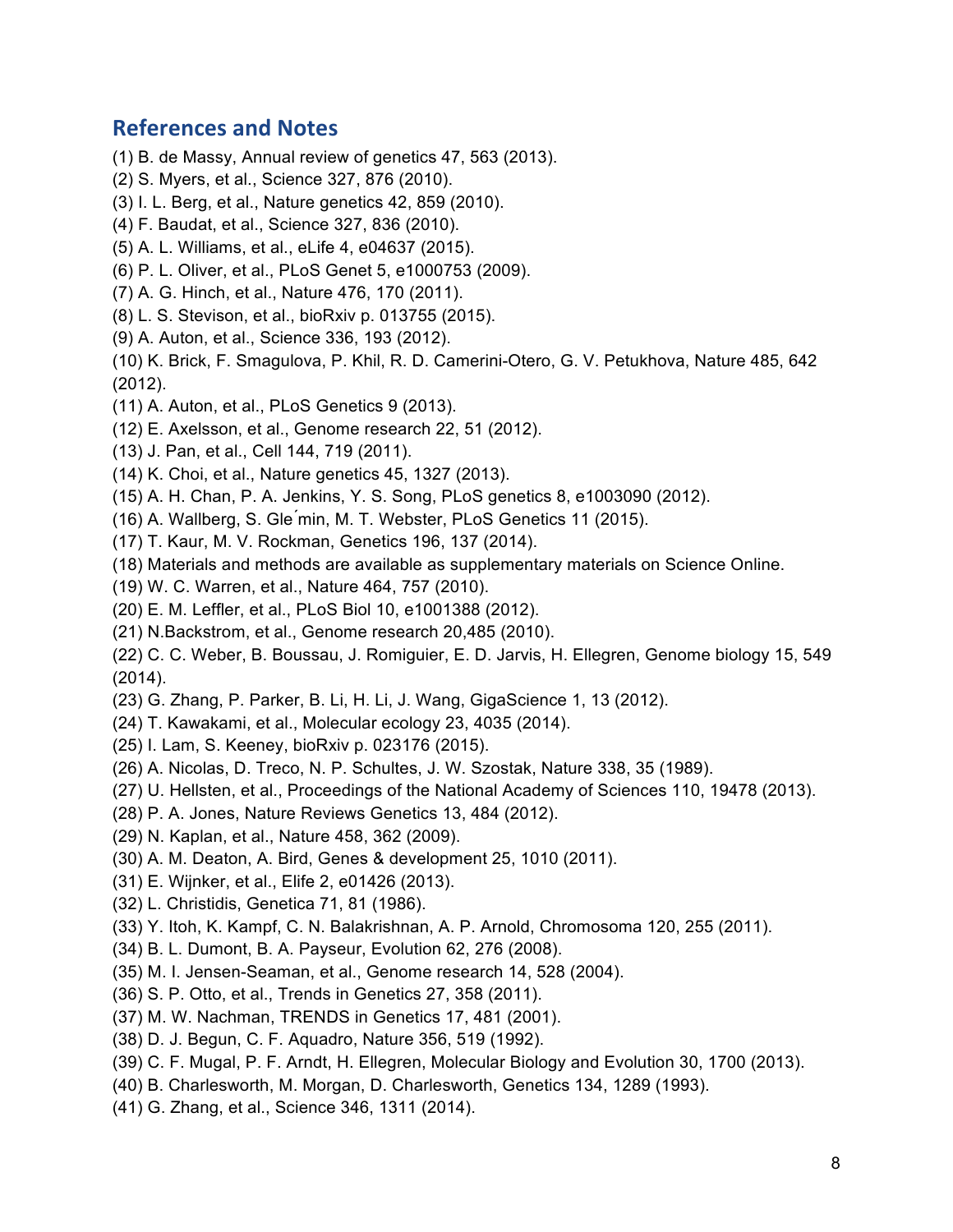### **References and Notes**

- (1) B. de Massy, Annual review of genetics 47, 563 (2013).
- (2) S. Myers, et al., Science 327, 876 (2010).
- (3) I. L. Berg, et al., Nature genetics 42, 859 (2010).
- (4) F. Baudat, et al., Science 327, 836 (2010).
- (5) A. L. Williams, et al., eLife 4, e04637 (2015).
- (6) P. L. Oliver, et al., PLoS Genet 5, e1000753 (2009).
- (7) A. G. Hinch, et al., Nature 476, 170 (2011).
- (8) L. S. Stevison, et al., bioRxiv p. 013755 (2015).
- (9) A. Auton, et al., Science 336, 193 (2012).
- (10) K. Brick, F. Smagulova, P. Khil, R. D. Camerini-Otero, G. V. Petukhova, Nature 485, 642 (2012).
- (11) A. Auton, et al., PLoS Genetics 9 (2013).
- (12) E. Axelsson, et al., Genome research 22, 51 (2012).
- (13) J. Pan, et al., Cell 144, 719 (2011).
- (14) K. Choi, et al., Nature genetics 45, 1327 (2013).
- (15) A. H. Chan, P. A. Jenkins, Y. S. Song, PLoS genetics 8, e1003090 (2012).
- (16) A. Wallberg, S. Gle ́min, M. T. Webster, PLoS Genetics 11 (2015).
- (17) T. Kaur, M. V. Rockman, Genetics 196, 137 (2014).
- (18) Materials and methods are available as supplementary materials on Science Online.
- (19) W. C. Warren, et al., Nature 464, 757 (2010).
- (20) E. M. Leffler, et al., PLoS Biol 10, e1001388 (2012).
- (21) N.Backstrom, et al., Genome research 20,485 (2010).
- (22) C. C. Weber, B. Boussau, J. Romiguier, E. D. Jarvis, H. Ellegren, Genome biology 15, 549 (2014).
- (23) G. Zhang, P. Parker, B. Li, H. Li, J. Wang, GigaScience 1, 13 (2012).
- (24) T. Kawakami, et al., Molecular ecology 23, 4035 (2014).
- (25) I. Lam, S. Keeney, bioRxiv p. 023176 (2015).
- (26) A. Nicolas, D. Treco, N. P. Schultes, J. W. Szostak, Nature 338, 35 (1989).
- (27) U. Hellsten, et al., Proceedings of the National Academy of Sciences 110, 19478 (2013).
- (28) P. A. Jones, Nature Reviews Genetics 13, 484 (2012).
- (29) N. Kaplan, et al., Nature 458, 362 (2009).
- (30) A. M. Deaton, A. Bird, Genes & development 25, 1010 (2011).
- (31) E. Wijnker, et al., Elife 2, e01426 (2013).
- (32) L. Christidis, Genetica 71, 81 (1986).
- (33) Y. Itoh, K. Kampf, C. N. Balakrishnan, A. P. Arnold, Chromosoma 120, 255 (2011).
- (34) B. L. Dumont, B. A. Payseur, Evolution 62, 276 (2008).
- (35) M. I. Jensen-Seaman, et al., Genome research 14, 528 (2004).
- (36) S. P. Otto, et al., Trends in Genetics 27, 358 (2011).
- (37) M. W. Nachman, TRENDS in Genetics 17, 481 (2001).
- (38) D. J. Begun, C. F. Aquadro, Nature 356, 519 (1992).
- (39) C. F. Mugal, P. F. Arndt, H. Ellegren, Molecular Biology and Evolution 30, 1700 (2013).
- (40) B. Charlesworth, M. Morgan, D. Charlesworth, Genetics 134, 1289 (1993).
- (41) G. Zhang, et al., Science 346, 1311 (2014).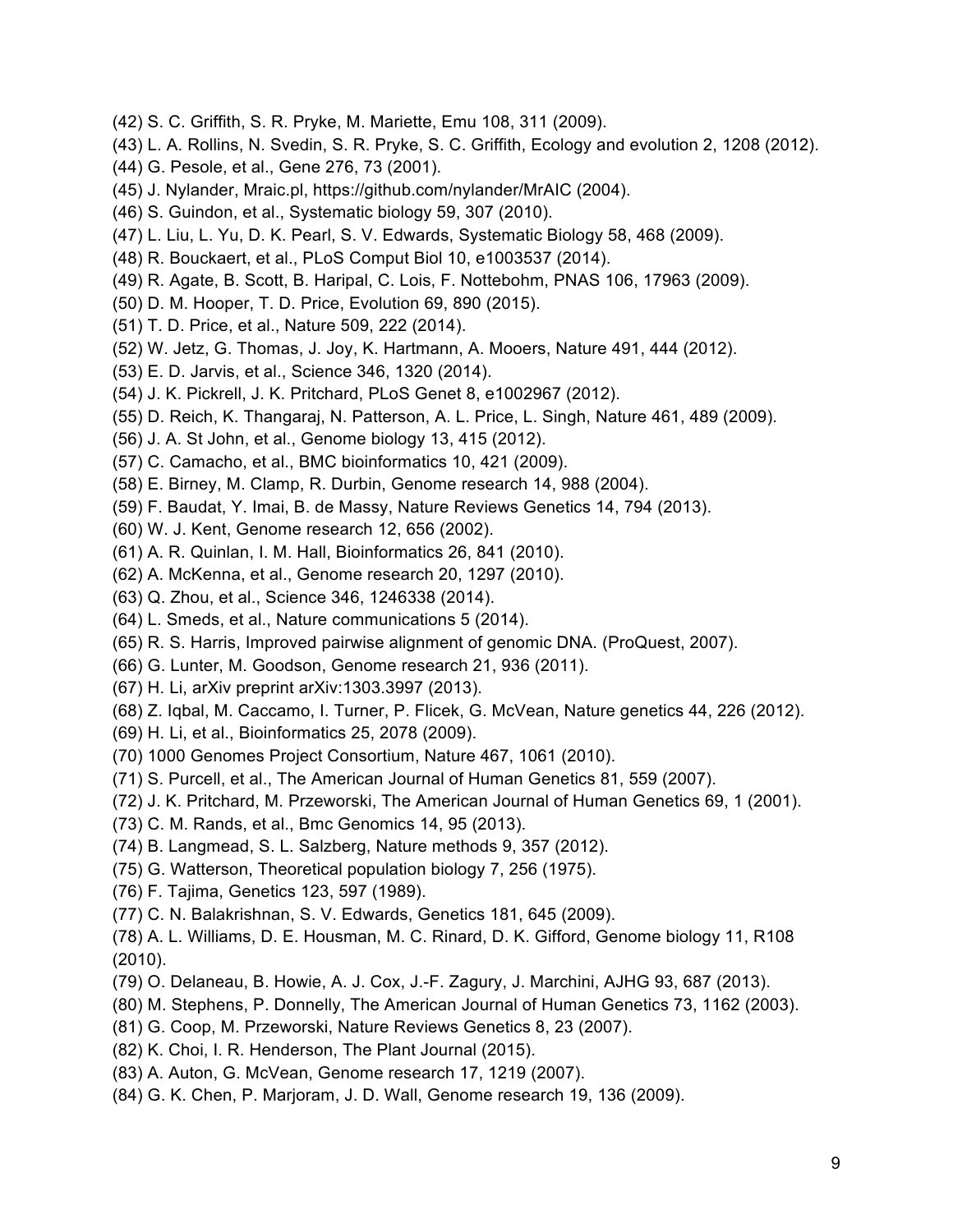- (42) S. C. Griffith, S. R. Pryke, M. Mariette, Emu 108, 311 (2009).
- (43) L. A. Rollins, N. Svedin, S. R. Pryke, S. C. Griffith, Ecology and evolution 2, 1208 (2012).
- (44) G. Pesole, et al., Gene 276, 73 (2001).
- (45) J. Nylander, Mraic.pl, https://github.com/nylander/MrAIC (2004).
- (46) S. Guindon, et al., Systematic biology 59, 307 (2010).
- (47) L. Liu, L. Yu, D. K. Pearl, S. V. Edwards, Systematic Biology 58, 468 (2009).
- (48) R. Bouckaert, et al., PLoS Comput Biol 10, e1003537 (2014).
- (49) R. Agate, B. Scott, B. Haripal, C. Lois, F. Nottebohm, PNAS 106, 17963 (2009).
- (50) D. M. Hooper, T. D. Price, Evolution 69, 890 (2015).
- (51) T. D. Price, et al., Nature 509, 222 (2014).
- (52) W. Jetz, G. Thomas, J. Joy, K. Hartmann, A. Mooers, Nature 491, 444 (2012).
- (53) E. D. Jarvis, et al., Science 346, 1320 (2014).
- (54) J. K. Pickrell, J. K. Pritchard, PLoS Genet 8, e1002967 (2012).
- (55) D. Reich, K. Thangaraj, N. Patterson, A. L. Price, L. Singh, Nature 461, 489 (2009).
- (56) J. A. St John, et al., Genome biology 13, 415 (2012).
- (57) C. Camacho, et al., BMC bioinformatics 10, 421 (2009).
- (58) E. Birney, M. Clamp, R. Durbin, Genome research 14, 988 (2004).
- (59) F. Baudat, Y. Imai, B. de Massy, Nature Reviews Genetics 14, 794 (2013).
- (60) W. J. Kent, Genome research 12, 656 (2002).
- (61) A. R. Quinlan, I. M. Hall, Bioinformatics 26, 841 (2010).
- (62) A. McKenna, et al., Genome research 20, 1297 (2010).
- (63) Q. Zhou, et al., Science 346, 1246338 (2014).
- (64) L. Smeds, et al., Nature communications 5 (2014).
- (65) R. S. Harris, Improved pairwise alignment of genomic DNA. (ProQuest, 2007).
- (66) G. Lunter, M. Goodson, Genome research 21, 936 (2011).
- (67) H. Li, arXiv preprint arXiv:1303.3997 (2013).
- (68) Z. Iqbal, M. Caccamo, I. Turner, P. Flicek, G. McVean, Nature genetics 44, 226 (2012).
- (69) H. Li, et al., Bioinformatics 25, 2078 (2009).
- (70) 1000 Genomes Project Consortium, Nature 467, 1061 (2010).
- (71) S. Purcell, et al., The American Journal of Human Genetics 81, 559 (2007).
- (72) J. K. Pritchard, M. Przeworski, The American Journal of Human Genetics 69, 1 (2001).
- (73) C. M. Rands, et al., Bmc Genomics 14, 95 (2013).
- (74) B. Langmead, S. L. Salzberg, Nature methods 9, 357 (2012).
- (75) G. Watterson, Theoretical population biology 7, 256 (1975).
- (76) F. Tajima, Genetics 123, 597 (1989).
- (77) C. N. Balakrishnan, S. V. Edwards, Genetics 181, 645 (2009).
- (78) A. L. Williams, D. E. Housman, M. C. Rinard, D. K. Gifford, Genome biology 11, R108 (2010).
- (79) O. Delaneau, B. Howie, A. J. Cox, J.-F. Zagury, J. Marchini, AJHG 93, 687 (2013).
- (80) M. Stephens, P. Donnelly, The American Journal of Human Genetics 73, 1162 (2003).
- (81) G. Coop, M. Przeworski, Nature Reviews Genetics 8, 23 (2007).
- (82) K. Choi, I. R. Henderson, The Plant Journal (2015).
- (83) A. Auton, G. McVean, Genome research 17, 1219 (2007).
- (84) G. K. Chen, P. Marjoram, J. D. Wall, Genome research 19, 136 (2009).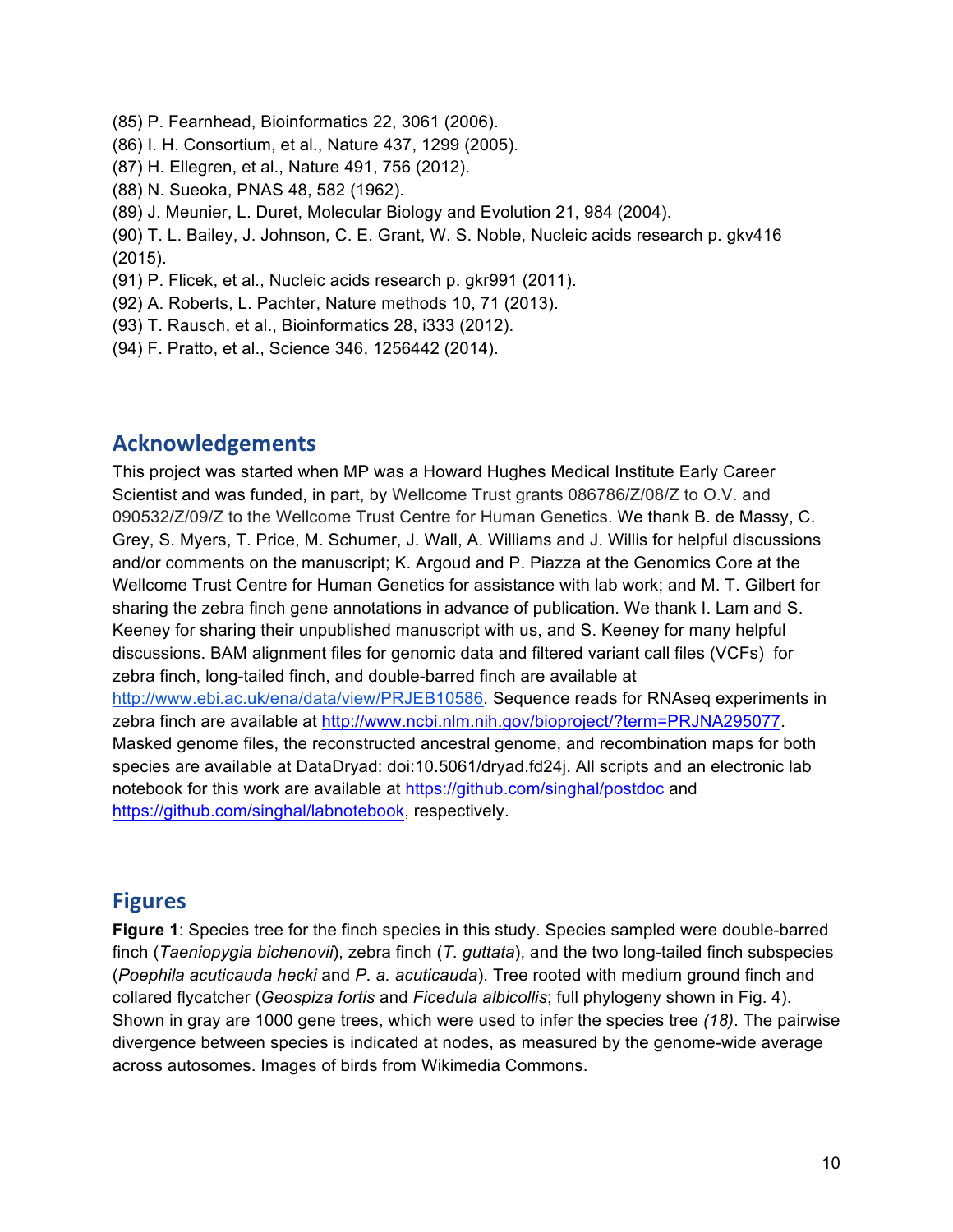- (85) P. Fearnhead, Bioinformatics 22, 3061 (2006).
- (86) I. H. Consortium, et al., Nature 437, 1299 (2005).
- (87) H. Ellegren, et al., Nature 491, 756 (2012).
- (88) N. Sueoka, PNAS 48, 582 (1962).
- (89) J. Meunier, L. Duret, Molecular Biology and Evolution 21, 984 (2004).
- (90) T. L. Bailey, J. Johnson, C. E. Grant, W. S. Noble, Nucleic acids research p. gkv416 (2015).
- (91) P. Flicek, et al., Nucleic acids research p. gkr991 (2011).
- (92) A. Roberts, L. Pachter, Nature methods 10, 71 (2013).
- (93) T. Rausch, et al., Bioinformatics 28, i333 (2012).
- (94) F. Pratto, et al., Science 346, 1256442 (2014).

### **Acknowledgements**

This project was started when MP was a Howard Hughes Medical Institute Early Career Scientist and was funded, in part, by Wellcome Trust grants 086786/Z/08/Z to O.V. and 090532/Z/09/Z to the Wellcome Trust Centre for Human Genetics. We thank B. de Massy, C. Grey, S. Myers, T. Price, M. Schumer, J. Wall, A. Williams and J. Willis for helpful discussions and/or comments on the manuscript; K. Argoud and P. Piazza at the Genomics Core at the Wellcome Trust Centre for Human Genetics for assistance with lab work; and M. T. Gilbert for sharing the zebra finch gene annotations in advance of publication. We thank I. Lam and S. Keeney for sharing their unpublished manuscript with us, and S. Keeney for many helpful discussions. BAM alignment files for genomic data and filtered variant call files (VCFs) for zebra finch, long-tailed finch, and double-barred finch are available at http://www.ebi.ac.uk/ena/data/view/PRJEB10586. Sequence reads for RNAseq experiments in zebra finch are available at http://www.ncbi.nlm.nih.gov/bioproject/?term=PRJNA295077. Masked genome files, the reconstructed ancestral genome, and recombination maps for both species are available at DataDryad: doi:10.5061/dryad.fd24j. All scripts and an electronic lab notebook for this work are available at https://github.com/singhal/postdoc and https://github.com/singhal/labnotebook, respectively.

### **Figures**

**Figure 1**: Species tree for the finch species in this study. Species sampled were double-barred finch (*Taeniopygia bichenovii*), zebra finch (*T. guttata*), and the two long-tailed finch subspecies (*Poephila acuticauda hecki* and *P. a. acuticauda*). Tree rooted with medium ground finch and collared flycatcher (*Geospiza fortis* and *Ficedula albicollis*; full phylogeny shown in Fig. 4). Shown in gray are 1000 gene trees, which were used to infer the species tree *(18)*. The pairwise divergence between species is indicated at nodes, as measured by the genome-wide average across autosomes. Images of birds from Wikimedia Commons.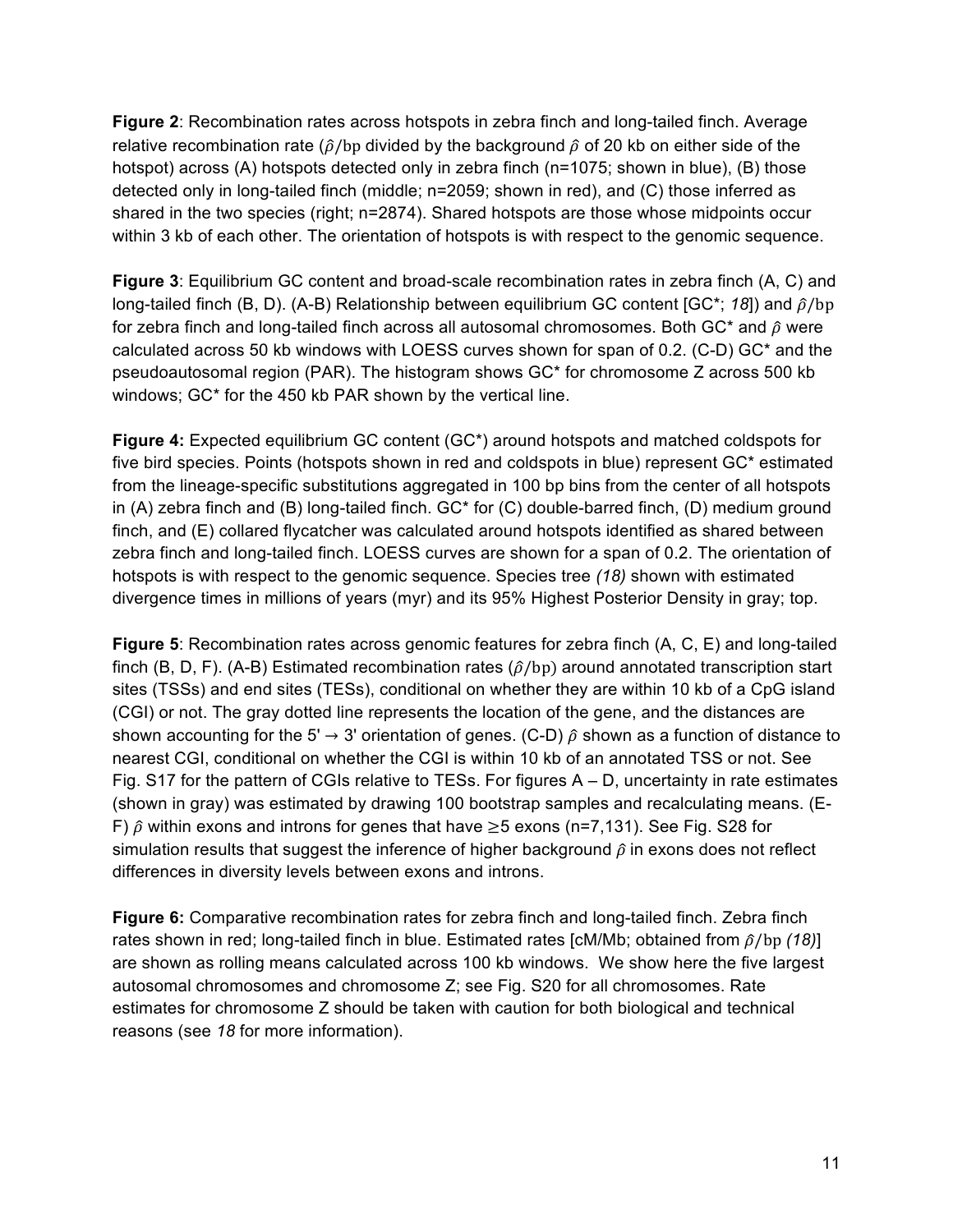**Figure 2**: Recombination rates across hotspots in zebra finch and long-tailed finch. Average relative recombination rate ( $\hat{\rho}$ /bp divided by the background  $\hat{\rho}$  of 20 kb on either side of the hotspot) across (A) hotspots detected only in zebra finch (n=1075; shown in blue), (B) those detected only in long-tailed finch (middle; n=2059; shown in red), and (C) those inferred as shared in the two species (right; n=2874). Shared hotspots are those whose midpoints occur within 3 kb of each other. The orientation of hotspots is with respect to the genomic sequence.

**Figure 3**: Equilibrium GC content and broad-scale recombination rates in zebra finch (A, C) and long-tailed finch (B, D). (A-B) Relationship between equilibrium GC content [GC<sup>\*</sup>; 18]) and  $\hat{\rho}/\text{bp}$ for zebra finch and long-tailed finch across all autosomal chromosomes. Both GC\* and  $\hat{\rho}$  were calculated across 50 kb windows with LOESS curves shown for span of 0.2. (C-D) GC\* and the pseudoautosomal region (PAR). The histogram shows GC\* for chromosome Z across 500 kb windows; GC\* for the 450 kb PAR shown by the vertical line.

**Figure 4:** Expected equilibrium GC content (GC\*) around hotspots and matched coldspots for five bird species. Points (hotspots shown in red and coldspots in blue) represent GC\* estimated from the lineage-specific substitutions aggregated in 100 bp bins from the center of all hotspots in (A) zebra finch and (B) long-tailed finch. GC\* for (C) double-barred finch, (D) medium ground finch, and (E) collared flycatcher was calculated around hotspots identified as shared between zebra finch and long-tailed finch. LOESS curves are shown for a span of 0.2. The orientation of hotspots is with respect to the genomic sequence. Species tree *(18)* shown with estimated divergence times in millions of years (myr) and its 95% Highest Posterior Density in gray; top.

**Figure 5**: Recombination rates across genomic features for zebra finch (A, C, E) and long-tailed finch (B, D, F). (A-B) Estimated recombination rates  $(\hat{\rho}/bp)$  around annotated transcription start sites (TSSs) and end sites (TESs), conditional on whether they are within 10 kb of a CpG island (CGI) or not. The gray dotted line represents the location of the gene, and the distances are shown accounting for the 5'  $\rightarrow$  3' orientation of genes. (C-D)  $\hat{\rho}$  shown as a function of distance to nearest CGI, conditional on whether the CGI is within 10 kb of an annotated TSS or not. See Fig. S17 for the pattern of CGIs relative to TESs. For figures A – D, uncertainty in rate estimates (shown in gray) was estimated by drawing 100 bootstrap samples and recalculating means. (E-F)  $\hat{\rho}$  within exons and introns for genes that have  $\geq$ 5 exons (n=7,131). See Fig. S28 for simulation results that suggest the inference of higher background  $\hat{\rho}$  in exons does not reflect differences in diversity levels between exons and introns.

**Figure 6:** Comparative recombination rates for zebra finch and long-tailed finch. Zebra finch rates shown in red; long-tailed finch in blue. Estimated rates  $[CM/Mb]$ ; obtained from  $\hat{\rho}/b$   $(18)$ ] are shown as rolling means calculated across 100 kb windows. We show here the five largest autosomal chromosomes and chromosome Z; see Fig. S20 for all chromosomes. Rate estimates for chromosome Z should be taken with caution for both biological and technical reasons (see *18* for more information).